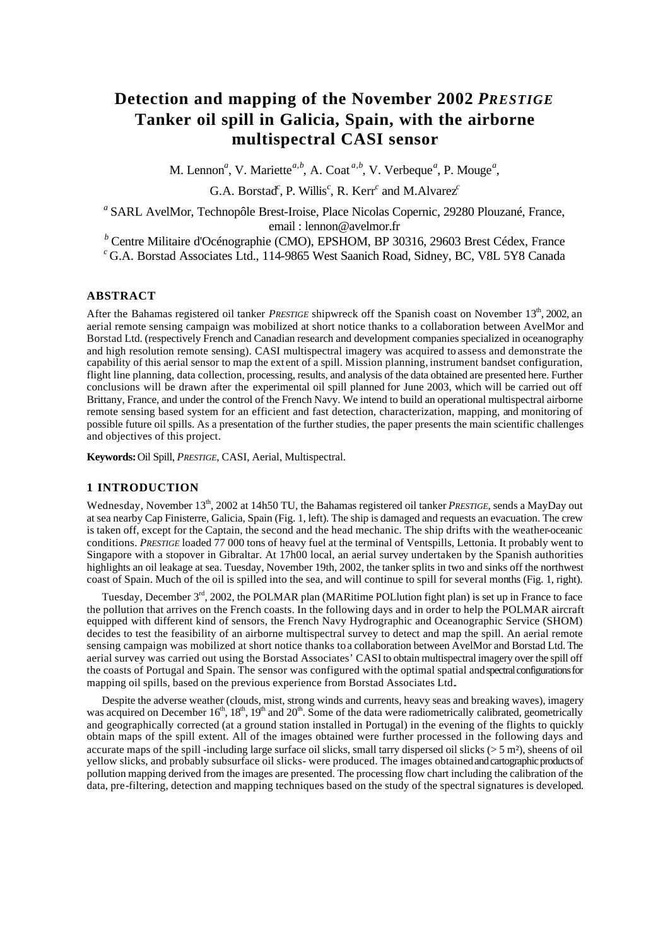# **Detection and mapping of the November 2002** *PRESTIGE* **Tanker oil spill in Galicia, Spain, with the airborne multispectral CASI sensor**

M. Lennon<sup>*a*</sup>, V. Mariette<sup>*a,b*</sup>, A. Coat<sup>*a,b*</sup>, V. Verbeque<sup>*a*</sup>, P. Mouge<sup>*a*</sup>,

G.A. Borstad<sup>c</sup>, P. Willis<sup>c</sup>, R. Kerr<sup>c</sup> and M.Alvarez<sup>*c*</sup>

*a* SARL AvelMor, Technopôle Brest-Iroise, Place Nicolas Copernic, 29280 Plouzané, France, email : lennon@avelmor.fr

*<sup>b</sup>* Centre Militaire d'Océnographie (CMO), EPSHOM, BP 30316, 29603 Brest Cédex, France *<sup>c</sup>* G.A. Borstad Associates Ltd., 114-9865 West Saanich Road, Sidney, BC, V8L 5Y8 Canada

# **ABSTRACT**

After the Bahamas registered oil tanker *PRESTIGE* shipwreck off the Spanish coast on November 13<sup>th</sup>, 2002, an aerial remote sensing campaign was mobilized at short notice thanks to a collaboration between AvelMor and Borstad Ltd. (respectively French and Canadian research and development companies specialized in oceanography and high resolution remote sensing). CASI multispectral imagery was acquired to assess and demonstrate the capability of this aerial sensor to map the ext ent of a spill. Mission planning, instrument bandset configuration, flight line planning, data collection, processing, results, and analysis of the data obtained are presented here. Further conclusions will be drawn after the experimental oil spill planned for June 2003, which will be carried out off Brittany, France, and under the control of the French Navy. We intend to build an operational multispectral airborne remote sensing based system for an efficient and fast detection, characterization, mapping, and monitoring of possible future oil spills. As a presentation of the further studies, the paper presents the main scientific challenges and objectives of this project.

**Keywords:** Oil Spill, *PRESTIGE*, CASI, Aerial, Multispectral.

## **1 INTRODUCTION**

Wednesday, November 13<sup>th</sup>, 2002 at 14h50 TU, the Bahamas registered oil tanker *PRESTIGE*, sends a MayDay out at sea nearby Cap Finisterre, Galicia, Spain (Fig. 1, left). The ship is damaged and requests an evacuation. The crew is taken off, except for the Captain, the second and the head mechanic. The ship drifts with the weather-oceanic conditions. *PRESTIGE* loaded 77 000 tons of heavy fuel at the terminal of Ventspills, Lettonia. It probably went to Singapore with a stopover in Gibraltar. At 17h00 local, an aerial survey undertaken by the Spanish authorities highlights an oil leakage at sea. Tuesday, November 19th, 2002, the tanker splits in two and sinks off the northwest coast of Spain. Much of the oil is spilled into the sea, and will continue to spill for several months (Fig. 1, right).

Tuesday, December 3<sup>rd</sup>, 2002, the POLMAR plan (MARitime POLlution fight plan) is set up in France to face the pollution that arrives on the French coasts. In the following days and in order to help the POLMAR aircraft equipped with different kind of sensors, the French Navy Hydrographic and Oceanographic Service (SHOM) decides to test the feasibility of an airborne multispectral survey to detect and map the spill. An aerial remote sensing campaign was mobilized at short notice thanks to a collaboration between AvelMor and Borstad Ltd. The aerial survey was carried out using the Borstad Associates' CASI to obtain multispectral imagery over the spill off the coasts of Portugal and Spain. The sensor was configured with the optimal spatial and spectral configurations for mapping oil spills, based on the previous experience from Borstad Associates Ltd..

Despite the adverse weather (clouds, mist, strong winds and currents, heavy seas and breaking waves), imagery was acquired on December  $16<sup>th</sup>$ ,  $18<sup>th</sup>$ ,  $19<sup>th</sup>$  and  $20<sup>th</sup>$ . Some of the data were radiometrically calibrated, geometrically and geographically corrected (at a ground station installed in Portugal) in the evening of the flights to quickly obtain maps of the spill extent. All of the images obtained were further processed in the following days and accurate maps of the spill -including large surface oil slicks, small tarry dispersed oil slicks ( $> 5$  m<sup>2</sup>), sheens of oil yellow slicks, and probably subsurface oil slicks- were produced. The images obtained and cartographic products of pollution mapping derived from the images are presented. The processing flow chart including the calibration of the data, pre-filtering, detection and mapping techniques based on the study of the spectral signatures is developed.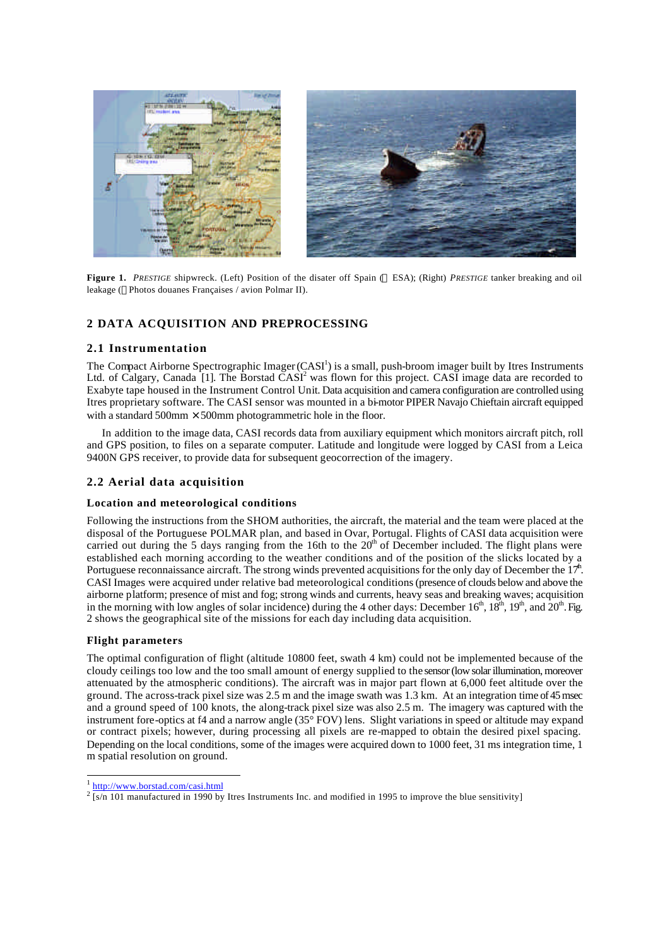

**Figure 1.** PRESTIGE shipwreck. (Left) Position of the disater off Spain (© ESA); (Right) *PRESTIGE* tanker breaking and oil leakage (Photos douanes Françaises / avion Polmar II).

# **2 DATA ACQUISITION AND PREPROCESSING**

#### **2.1 Instrumentation**

The Compact Airborne Spectrographic Imager  $(CASI^1)$  is a small, push-broom imager built by Itres Instruments Ltd. of Calgary, Canada [1]. The Borstad  $\text{CASI}^2$  was flown for this project. CASI image data are recorded to Exabyte tape housed in the Instrument Control Unit. Data acquisition and camera configuration are controlled using Itres proprietary software. The CASI sensor was mounted in a bi-motor PIPER Navajo Chieftain aircraft equipped with a standard  $500 \text{mm} \times 500 \text{mm}$  photogrammetric hole in the floor.

In addition to the image data, CASI records data from auxiliary equipment which monitors aircraft pitch, roll and GPS position, to files on a separate computer. Latitude and longitude were logged by CASI from a Leica 9400N GPS receiver, to provide data for subsequent geocorrection of the imagery.

## **2.2 Aerial data acquisition**

#### **Location and meteorological conditions**

Following the instructions from the SHOM authorities, the aircraft, the material and the team were placed at the disposal of the Portuguese POLMAR plan, and based in Ovar, Portugal. Flights of CASI data acquisition were carried out during the 5 days ranging from the 16th to the  $20<sup>th</sup>$  of December included. The flight plans were established each morning according to the weather conditions and of the position of the slicks located by a Portuguese reconnaissance aircraft. The strong winds prevented acquisitions for the only day of December the  $17<sup>h</sup>$ . CASI Images were acquired under relative bad meteorological conditions (presence of clouds below and above the airborne platform; presence of mist and fog; strong winds and currents, heavy seas and breaking waves; acquisition in the morning with low angles of solar incidence) during the 4 other days: December  $16^{th}$ ,  $18^{th}$ ,  $19^{th}$ , and  $20^{th}$ . Fig. 2 shows the geographical site of the missions for each day including data acquisition.

#### **Flight parameters**

The optimal configuration of flight (altitude 10800 feet, swath 4 km) could not be implemented because of the cloudy ceilings too low and the too small amount of energy supplied to the sensor (low solar illumination, moreover attenuated by the atmospheric conditions). The aircraft was in major part flown at 6,000 feet altitude over the ground. The across-track pixel size was 2.5 m and the image swath was 1.3 km. At an integration time of 45 msec and a ground speed of 100 knots, the along-track pixel size was also 2.5 m. The imagery was captured with the instrument fore-optics at f4 and a narrow angle (35° FOV) lens. Slight variations in speed or altitude may expand or contract pixels; however, during processing all pixels are re-mapped to obtain the desired pixel spacing. Depending on the local conditions, some of the images were acquired down to 1000 feet, 31 ms integration time, 1 m spatial resolution on ground.

l

<sup>1</sup> http://www.borstad.com/casi.html

 $\frac{2}{5}$  [s/n 101 manufactured in 1990 by Itres Instruments Inc. and modified in 1995 to improve the blue sensitivity]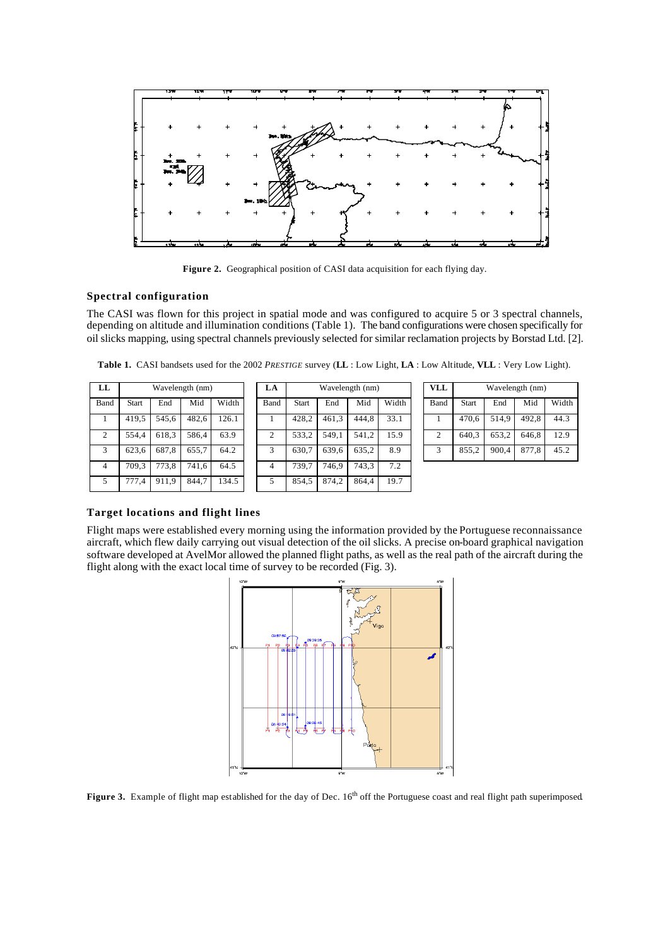

Figure 2. Geographical position of CASI data acquisition for each flying day.

#### **Spectral configuration**

The CASI was flown for this project in spatial mode and was configured to acquire 5 or 3 spectral channels, depending on altitude and illumination conditions (Table 1). The band configurations were chosen specifically for oil slicks mapping, using spectral channels previously selected for similar reclamation projects by Borstad Ltd. [2].

**Table 1.** CASI bandsets used for the 2002 *PRESTIGE* survey (**LL** : Low Light, **LA** : Low Altitude, **VLL** : Very Low Light).

| LL             | Wavelength (nm) |       |       |      |  |  |  |  |
|----------------|-----------------|-------|-------|------|--|--|--|--|
| Band           | Start           | End   | Mid   | Widt |  |  |  |  |
|                | 419.5           | 545,6 | 482,6 | 126. |  |  |  |  |
| $\overline{c}$ | 554,4           | 618,3 | 586,4 | 63.9 |  |  |  |  |
| 3              | 623.6           | 687,8 | 655,7 | 64.2 |  |  |  |  |
| 4              | 709.3           | 773,8 | 741,6 | 64.5 |  |  |  |  |
| 5              | 777,4           | 911,9 | 844.7 | 134. |  |  |  |  |

| LL             |       |       | Wavelength (nm) |       | LA   |              |       | Wavelength (nm) |       | <b>VLL</b>     |              |       | Wavelength (nm) |       |
|----------------|-------|-------|-----------------|-------|------|--------------|-------|-----------------|-------|----------------|--------------|-------|-----------------|-------|
| Band           | Start | End   | Mid             | Width | Band | <b>Start</b> | End   | Mid             | Width | Band           | <b>Start</b> | End   | Mid             | Width |
|                | 419,5 | 545.6 | 482,6           | 126.1 |      | 428.2        | 461,3 | 444.8           | 33.1  |                | 470.6        | 514.9 | 492.8           | 44.3  |
| 2              | 554.4 | 618.3 | 586.4           | 63.9  | C    | 533.2        | 549.1 | 541.2           | 15.9  | $\overline{c}$ | 640.3        | 653,2 | 646.8           | 12.9  |
| 3              | 623,6 | 687,8 | 655,7           | 64.2  |      | 630.7        | 639,6 | 635,2           | 8.9   | 3              | 855.2        | 900.4 | 877.8           | 45.2  |
| $\overline{4}$ | 709.3 | 773.8 | 741.6           | 64.5  | 4    | 739.7        | 746.9 | 743.3           | 7.2   |                |              |       |                 |       |
| 5              | 777,4 | 911,9 | 844,7           | 134.5 |      | 854,5        | 874,2 | 864.4           | 19.7  |                |              |       |                 |       |

| VLL            | Wavelength (nm) |       |       |       |  |  |  |  |
|----------------|-----------------|-------|-------|-------|--|--|--|--|
| Band           | <b>Start</b>    | End   | Mid   | Width |  |  |  |  |
|                | 470,6           | 514,9 | 492,8 | 44.3  |  |  |  |  |
| $\overline{c}$ | 640,3           | 653,2 | 646,8 | 12.9  |  |  |  |  |
| 3              | 855,2           | 900,4 | 877,8 | 45.2  |  |  |  |  |

## **Target locations and flight lines**

Flight maps were established every morning using the information provided by the Portuguese reconnaissance aircraft, which flew daily carrying out visual detection of the oil slicks. A precise on-board graphical navigation software developed at AvelMor allowed the planned flight paths, as well as the real path of the aircraft during the flight along with the exact local time of survey to be recorded (Fig. 3).



**Figure 3.** Example of flight map established for the day of Dec. 16<sup>th</sup> off the Portuguese coast and real flight path superimposed.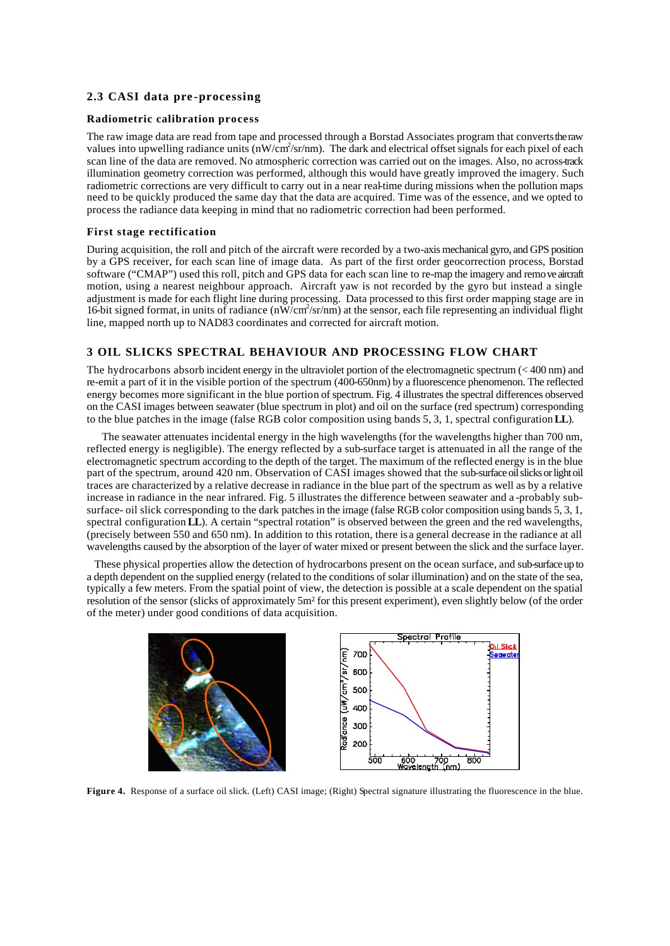## **2.3 CASI data pre -processing**

#### **Radiometric calibration process**

The raw image data are read from tape and processed through a Borstad Associates program that converts the raw values into upwelling radiance units (nW/cm<sup>2</sup>/sr/nm). The dark and electrical offset signals for each pixel of each scan line of the data are removed. No atmospheric correction was carried out on the images. Also, no across-track illumination geometry correction was performed, although this would have greatly improved the imagery. Such radiometric corrections are very difficult to carry out in a near real-time during missions when the pollution maps need to be quickly produced the same day that the data are acquired. Time was of the essence, and we opted to process the radiance data keeping in mind that no radiometric correction had been performed.

#### **First stage rectification**

During acquisition, the roll and pitch of the aircraft were recorded by a two-axis mechanical gyro, and GPS position by a GPS receiver, for each scan line of image data. As part of the first order geocorrection process, Borstad software ("CMAP") used this roll, pitch and GPS data for each scan line to re-map the imagery and remove aircraft motion, using a nearest neighbour approach. Aircraft yaw is not recorded by the gyro but instead a single adjustment is made for each flight line during processing. Data processed to this first order mapping stage are in 16-bit signed format, in units of radiance  $(n\overline{W/cm^2/sr/nm})$  at the sensor, each file representing an individual flight line, mapped north up to NAD83 coordinates and corrected for aircraft motion.

## **3 OIL SLICKS SPECTRAL BEHAVIOUR AND PROCESSING FLOW CHART**

The hydrocarbons absorb incident energy in the ultraviolet portion of the electromagnetic spectrum (< 400 nm) and re-emit a part of it in the visible portion of the spectrum (400-650nm) by a fluorescence phenomenon. The reflected energy becomes more significant in the blue portion of spectrum. Fig. 4 illustrates the spectral differences observed on the CASI images between seawater (blue spectrum in plot) and oil on the surface (red spectrum) corresponding to the blue patches in the image (false RGB color composition using bands 5, 3, 1, spectral configuration **LL**).

The seawater attenuates incidental energy in the high wavelengths (for the wavelengths higher than 700 nm, reflected energy is negligible). The energy reflected by a sub-surface target is attenuated in all the range of the electromagnetic spectrum according to the depth of the target. The maximum of the reflected energy is in the blue part of the spectrum, around 420 nm. Observation of CASI images showed that the sub-surface oil slicks or light oil traces are characterized by a relative decrease in radiance in the blue part of the spectrum as well as by a relative increase in radiance in the near infrared. Fig. 5 illustrates the difference between seawater and a -probably subsurface- oil slick corresponding to the dark patches in the image (false RGB color composition using bands 5, 3, 1, spectral configuration **LL**). A certain "spectral rotation" is observed between the green and the red wavelengths, (precisely between 550 and 650 nm). In addition to this rotation, there is a general decrease in the radiance at all wavelengths caused by the absorption of the layer of water mixed or present between the slick and the surface layer.

These physical properties allow the detection of hydrocarbons present on the ocean surface, and sub-surface up to a depth dependent on the supplied energy (related to the conditions of solar illumination) and on the state of the sea, typically a few meters. From the spatial point of view, the detection is possible at a scale dependent on the spatial resolution of the sensor (slicks of approximately 5m² for this present experiment), even slightly below (of the order of the meter) under good conditions of data acquisition.



**Figure 4.** Response of a surface oil slick. (Left) CASI image; (Right) Spectral signature illustrating the fluorescence in the blue.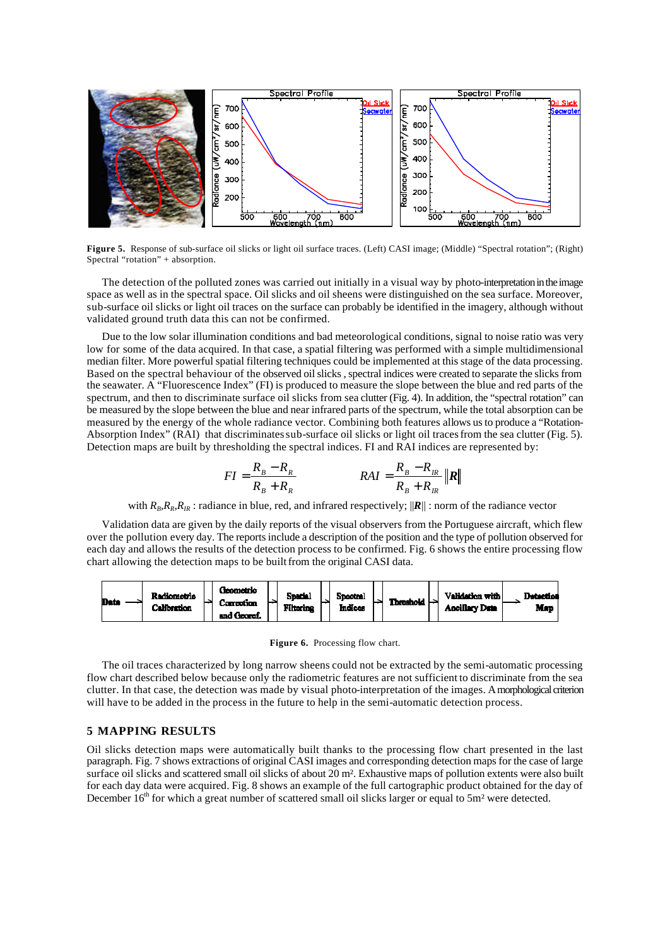

**Figure 5.** Response of sub-surface oil slicks or light oil surface traces. (Left) CASI image; (Middle) "Spectral rotation"; (Right) Spectral "rotation" + absorption.

The detection of the polluted zones was carried out initially in a visual way by photo-interpretation in the image space as well as in the spectral space. Oil slicks and oil sheens were distinguished on the sea surface. Moreover, sub-surface oil slicks or light oil traces on the surface can probably be identified in the imagery, although without validated ground truth data this can not be confirmed.

Due to the low solar illumination conditions and bad meteorological conditions, signal to noise ratio was very low for some of the data acquired. In that case, a spatial filtering was performed with a simple multidimensional median filter. More powerful spatial filtering techniques could be implemented at this stage of the data processing. Based on the spectral behaviour of the observed oil slicks , spectral indices were created to separate the slicks from the seawater. A "Fluorescence Index" (FI) is produced to measure the slope between the blue and red parts of the spectrum, and then to discriminate surface oil slicks from sea clutter (Fig. 4). In addition, the "spectral rotation" can be measured by the slope between the blue and near infrared parts of the spectrum, while the total absorption can be measured by the energy of the whole radiance vector. Combining both features allows us to produce a "Rotation-Absorption Index" (RAI) that discriminates sub-surface oil slicks or light oil traces from the sea clutter (Fig. 5). Detection maps are built by thresholding the spectral indices. FI and RAI indices are represented by:

$$
FI = \frac{R_B - R_R}{R_B + R_R}
$$
 
$$
RAI = \frac{R_B - R_R}{R_B + R_R} ||R||
$$

with  $R_B, R_R, R_R$ : radiance in blue, red, and infrared respectively;  $||\mathbf{R}||$ : norm of the radiance vector

Validation data are given by the daily reports of the visual observers from the Portuguese aircraft, which flew over the pollution every day. The reports include a description of the position and the type of pollution observed for each day and allows the results of the detection process to be confirmed. Fig. 6 shows the entire processing flow chart allowing the detection maps to be built from the original CASI data.



Figure 6. Processing flow chart.

The oil traces characterized by long narrow sheens could not be extracted by the semi-automatic processing flow chart described below because only the radiometric features are not sufficient to discriminate from the sea clutter. In that case, the detection was made by visual photo-interpretation of the images. A morphological criterion will have to be added in the process in the future to help in the semi-automatic detection process.

## **5 MAPPING RESULTS**

Oil slicks detection maps were automatically built thanks to the processing flow chart presented in the last paragraph. Fig. 7 shows extractions of original CASI images and corresponding detection maps for the case of large surface oil slicks and scattered small oil slicks of about 20 m<sup>2</sup>. Exhaustive maps of pollution extents were also built for each day data were acquired. Fig. 8 shows an example of the full cartographic product obtained for the day of December  $16<sup>th</sup>$  for which a great number of scattered small oil slicks larger or equal to 5m<sup>2</sup> were detected.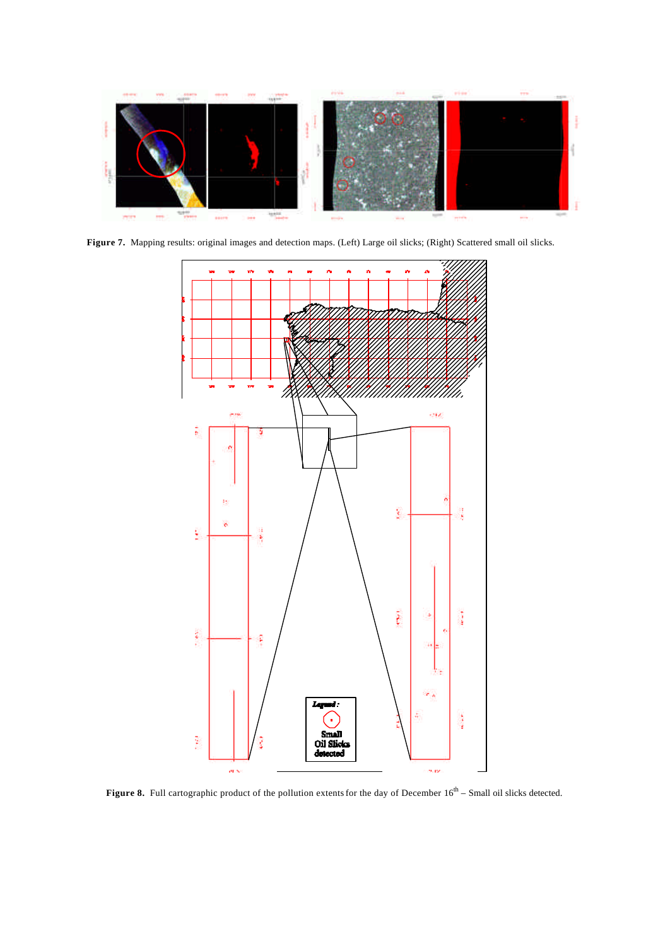

**Figure 7.** Mapping results: original images and detection maps. (Left) Large oil slicks; (Right) Scattered small oil slicks.



**Figure 8.** Full cartographic product of the pollution extents for the day of December  $16<sup>th</sup>$  – Small oil slicks detected.